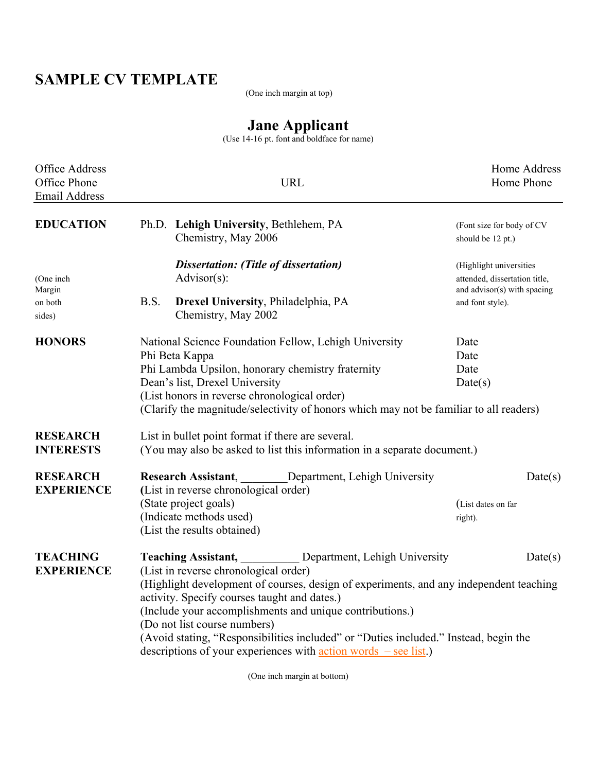## **SAMPLE CV TEMPLATE**

(One inch margin at top)

## **Jane Applicant**

(Use 14-16 pt. font and boldface for name)

| <b>Office Address</b><br>Office Phone<br><b>Email Address</b> | <b>URL</b>                                                                                                                                                                                                                                                                                                                                                                                                                                                                                                                                  | Home Address<br>Home Phone                                                                                  |  |
|---------------------------------------------------------------|---------------------------------------------------------------------------------------------------------------------------------------------------------------------------------------------------------------------------------------------------------------------------------------------------------------------------------------------------------------------------------------------------------------------------------------------------------------------------------------------------------------------------------------------|-------------------------------------------------------------------------------------------------------------|--|
| <b>EDUCATION</b>                                              | Ph.D. Lehigh University, Bethlehem, PA<br>Chemistry, May 2006                                                                                                                                                                                                                                                                                                                                                                                                                                                                               | (Font size for body of CV<br>should be 12 pt.)                                                              |  |
| (One inch<br>Margin<br>on both<br>sides)                      | <b>Dissertation: (Title of dissertation)</b><br>$Advisor(s)$ :<br>B.S.<br>Drexel University, Philadelphia, PA<br>Chemistry, May 2002                                                                                                                                                                                                                                                                                                                                                                                                        | (Highlight universities<br>attended, dissertation title,<br>and advisor(s) with spacing<br>and font style). |  |
| <b>HONORS</b>                                                 | National Science Foundation Fellow, Lehigh University<br>Phi Beta Kappa<br>Phi Lambda Upsilon, honorary chemistry fraternity<br>Dean's list, Drexel University<br>(List honors in reverse chronological order)<br>(Clarify the magnitude/selectivity of honors which may not be familiar to all readers)                                                                                                                                                                                                                                    | Date<br>Date<br>Date<br>Date(s)                                                                             |  |
| <b>RESEARCH</b><br><b>INTERESTS</b>                           | List in bullet point format if there are several.<br>(You may also be asked to list this information in a separate document.)                                                                                                                                                                                                                                                                                                                                                                                                               |                                                                                                             |  |
| <b>RESEARCH</b><br><b>EXPERIENCE</b>                          | Department, Lehigh University<br><b>Research Assistant,</b><br>(List in reverse chronological order)<br>(State project goals)<br>(Indicate methods used)<br>(List the results obtained)                                                                                                                                                                                                                                                                                                                                                     | Date(s)<br>(List dates on far<br>right).                                                                    |  |
| <b>TEACHING</b><br><b>EXPERIENCE</b>                          | <b>Teaching Assistant,</b><br>Department, Lehigh University<br>(List in reverse chronological order)<br>(Highlight development of courses, design of experiments, and any independent teaching<br>activity. Specify courses taught and dates.)<br>(Include your accomplishments and unique contributions.)<br>(Do not list course numbers)<br>(Avoid stating, "Responsibilities included" or "Duties included." Instead, begin the<br>descriptions of your experiences with $\frac{\text{action words}}{\text{arction words}}$ - see list.) | Date(s)                                                                                                     |  |

(One inch margin at bottom)